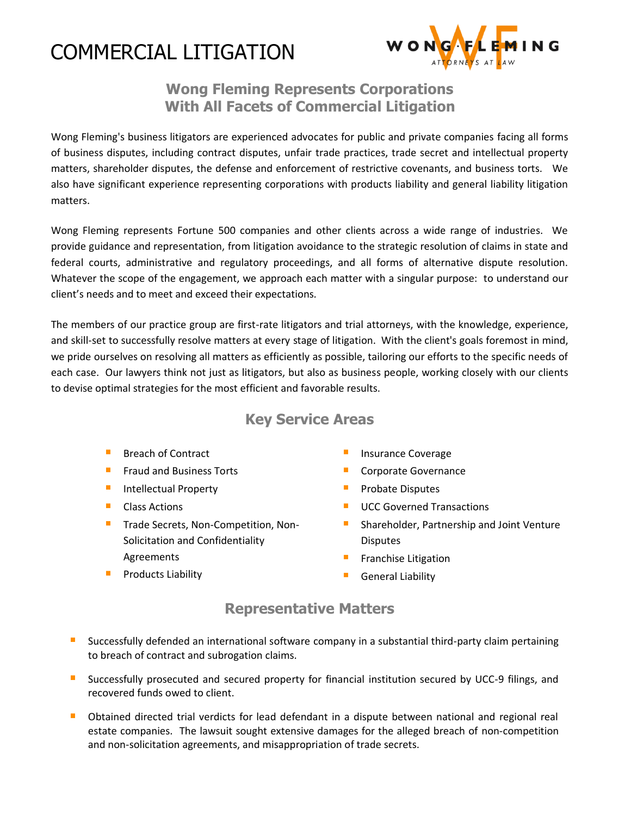# COMMERCIAL LITIGATION



### **Wong Fleming Represents Corporations With All Facets of Commercial Litigation**

Wong Fleming's business litigators are experienced advocates for public and private companies facing all forms of business disputes, including contract disputes, unfair trade practices, trade secret and intellectual property matters, shareholder disputes, the defense and enforcement of restrictive covenants, and business torts. We also have significant experience representing corporations with products liability and general liability litigation matters.

Wong Fleming represents Fortune 500 companies and other clients across a wide range of industries. We provide guidance and representation, from litigation avoidance to the strategic resolution of claims in state and federal courts, administrative and regulatory proceedings, and all forms of alternative dispute resolution. Whatever the scope of the engagement, we approach each matter with a singular purpose: to understand our client's needs and to meet and exceed their expectations.

The members of our practice group are first-rate litigators and trial attorneys, with the knowledge, experience, and skill-set to successfully resolve matters at every stage of litigation. With the client's goals foremost in mind, we pride ourselves on resolving all matters as efficiently as possible, tailoring our efforts to the specific needs of each case. Our lawyers think not just as litigators, but also as business people, working closely with our clients to devise optimal strategies for the most efficient and favorable results.

### **Key Service Areas**

- Breach of Contract
- Fraud and Business Torts
- Intellectual Property
- Class Actions
- Trade Secrets, Non-Competition, Non-Solicitation and Confidentiality Agreements
- Products Liability
- Insurance Coverage
- Corporate Governance
- $\mathcal{L}_{\mathcal{A}}$ Probate Disputes
- UCC Governed Transactions
- a. Shareholder, Partnership and Joint Venture **Disputes**
- Franchise Litigation
- General Liability

#### **Representative Matters**

- Successfully defended an international software company in a substantial third-party claim pertaining to breach of contract and subrogation claims.
- Successfully prosecuted and secured property for financial institution secured by UCC-9 filings, and recovered funds owed to client.
- Obtained directed trial verdicts for lead defendant in a dispute between national and regional real estate companies. The lawsuit sought extensive damages for the alleged breach of non-competition and non-solicitation agreements, and misappropriation of trade secrets.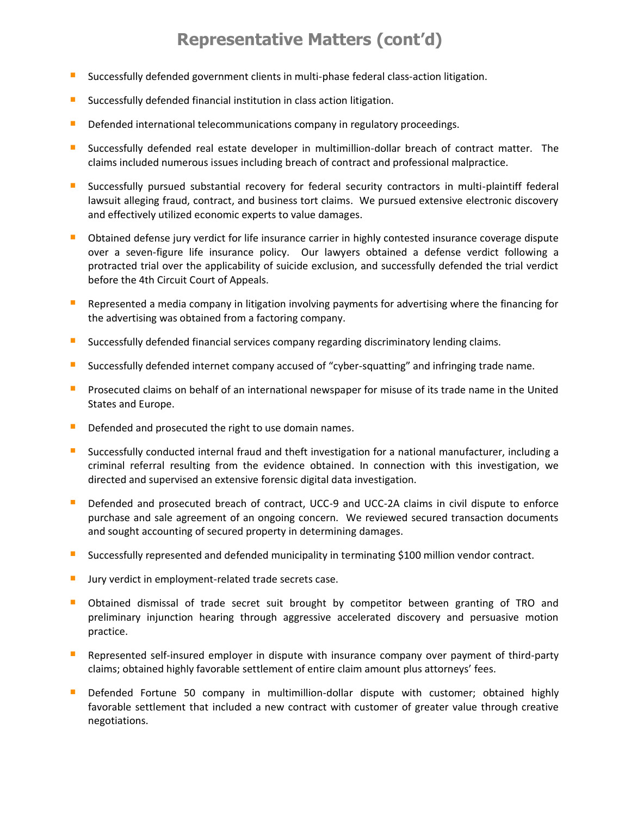## **Representative Matters (cont'd)**

- Successfully defended government clients in multi-phase federal class-action litigation.  $\mathcal{C}$
- $\mathcal{L}_{\mathcal{A}}$ Successfully defended financial institution in class action litigation.
- $\mathcal{L}_{\mathcal{A}}$ Defended international telecommunications company in regulatory proceedings.
- Successfully defended real estate developer in multimillion-dollar breach of contract matter. The claims included numerous issues including breach of contract and professional malpractice.
- Successfully pursued substantial recovery for federal security contractors in multi-plaintiff federal lawsuit alleging fraud, contract, and business tort claims. We pursued extensive electronic discovery and effectively utilized economic experts to value damages.
- $\mathcal{L}_{\mathcal{A}}$ Obtained defense jury verdict for life insurance carrier in highly contested insurance coverage dispute over a seven-figure life insurance policy. Our lawyers obtained a defense verdict following a protracted trial over the applicability of suicide exclusion, and successfully defended the trial verdict before the 4th Circuit Court of Appeals.
- $\mathcal{L}_{\mathcal{A}}$ Represented a media company in litigation involving payments for advertising where the financing for the advertising was obtained from a factoring company.
- $\Box$ Successfully defended financial services company regarding discriminatory lending claims.
- $\blacksquare$ Successfully defended internet company accused of "cyber-squatting" and infringing trade name.
- Prosecuted claims on behalf of an international newspaper for misuse of its trade name in the United States and Europe.
- $\mathcal{L}_{\mathcal{A}}$ Defended and prosecuted the right to use domain names.
- Successfully conducted internal fraud and theft investigation for a national manufacturer, including a criminal referral resulting from the evidence obtained. In connection with this investigation, we directed and supervised an extensive forensic digital data investigation.
- $\blacksquare$ Defended and prosecuted breach of contract, UCC-9 and UCC-2A claims in civil dispute to enforce purchase and sale agreement of an ongoing concern. We reviewed secured transaction documents and sought accounting of secured property in determining damages.
- Successfully represented and defended municipality in terminating \$100 million vendor contract.
- $\overline{\phantom{a}}$ Jury verdict in employment-related trade secrets case.
- Obtained dismissal of trade secret suit brought by competitor between granting of TRO and preliminary injunction hearing through aggressive accelerated discovery and persuasive motion practice.
- Represented self-insured employer in dispute with insurance company over payment of third-party claims; obtained highly favorable settlement of entire claim amount plus attorneys' fees.
- Defended Fortune 50 company in multimillion-dollar dispute with customer; obtained highly favorable settlement that included a new contract with customer of greater value through creative negotiations.